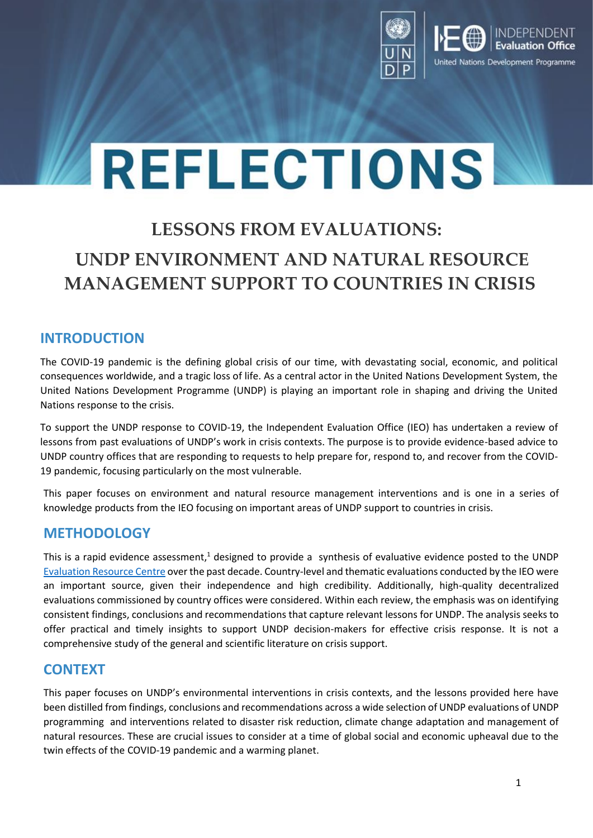

# **REFLECTIONS**

# **LESSONS FROM EVALUATIONS: UNDP ENVIRONMENT AND NATURAL RESOURCE MANAGEMENT SUPPORT TO COUNTRIES IN CRISIS**

## **INTRODUCTION**

The COVID-19 pandemic is the defining global crisis of our time, with devastating social, economic, and political consequences worldwide, and a tragic loss of life. As a central actor in the United Nations Development System, the United Nations Development Programme (UNDP) is playing an important role in shaping and driving the United Nations response to the crisis.

To support the UNDP response to COVID-19, the Independent Evaluation Office (IEO) has undertaken a review of lessons from past evaluations of UNDP's work in crisis contexts. The purpose is to provide evidence-based advice to UNDP country offices that are responding to requests to help prepare for, respond to, and recover from the COVID-19 pandemic, focusing particularly on the most vulnerable.

This paper focuses on environment and natural resource management interventions and is one in a series of knowledge products from the IEO focusing on important areas of UNDP support to countries in crisis.

## **METHODOLOGY**

This is a rapid evidence assessment,<sup>1</sup> designed to provide a synthesis of evaluative evidence posted to the UNDP [Evaluation Resource Centre](https://erc.undp.org/) over the past decade. Country-level and thematic evaluations conducted by the IEO were an important source, given their independence and high credibility. Additionally, high-quality decentralized evaluations commissioned by country offices were considered. Within each review, the emphasis was on identifying consistent findings, conclusions and recommendations that capture relevant lessons for UNDP. The analysis seeks to offer practical and timely insights to support UNDP decision-makers for effective crisis response. It is not a comprehensive study of the general and scientific literature on crisis support.

## **CONTEXT**

This paper focuses on UNDP's environmental interventions in crisis contexts, and the lessons provided here have been distilled from findings, conclusions and recommendations across a wide selection of UNDP evaluations of UNDP programming and interventions related to disaster risk reduction, climate change adaptation and management of natural resources. These are crucial issues to consider at a time of global social and economic upheaval due to the twin effects of the COVID-19 pandemic and a warming planet.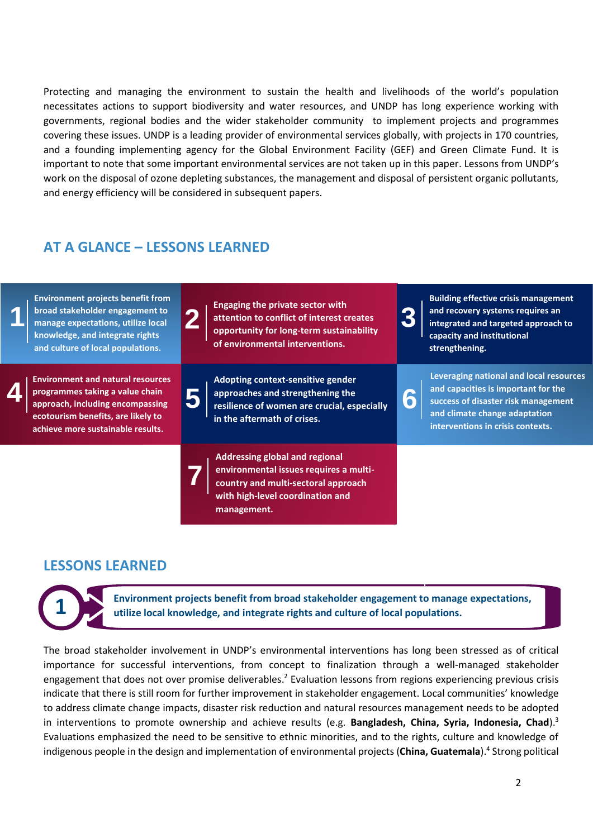Protecting and managing the environment to sustain the health and livelihoods of the world's population necessitates actions to support biodiversity and water resources, and UNDP has long experience working with governments, regional bodies and the wider stakeholder community to implement projects and programmes covering these issues. UNDP is a leading provider of environmental services globally, with projects in 170 countries, and a founding implementing agency for the Global Environment Facility (GEF) and Green Climate Fund. It is important to note that some important environmental services are not taken up in this paper. Lessons from UNDP's work on the disposal of ozone depleting substances, the management and disposal of persistent organic pollutants, and energy efficiency will be considered in subsequent papers.

#### **AT A GLANCE – LESSONS LEARNED**



#### **LESSONS LEARNED**

**1**

**Environment projects benefit from broad stakeholder engagement to manage expectations, utilize local knowledge, and integrate rights and culture of local populations.**

The broad stakeholder involvement in UNDP's environmental interventions has long been stressed as of critical importance for successful interventions, from concept to finalization through a well-managed stakeholder engagement that does not over promise deliverables.<sup>2</sup> Evaluation lessons from regions experiencing previous crisis indicate that there is still room for further improvement in stakeholder engagement. Local communities' knowledge to address climate change impacts, disaster risk reduction and natural resources management needs to be adopted in interventions to promote ownership and achieve results (e.g. **Bangladesh, China, Syria, Indonesia, Chad**). 3 Evaluations emphasized the need to be sensitive to ethnic minorities, and to the rights, culture and knowledge of indigenous people in the design and implementation of environmental projects (**China, Guatemala**). 4 Strong political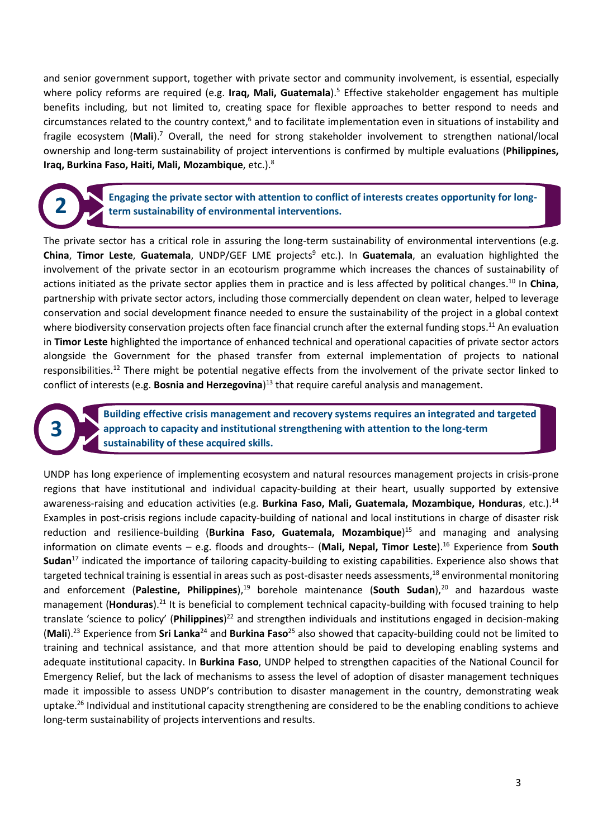and senior government support, together with private sector and community involvement, is essential, especially where policy reforms are required (e.g. **Iraq, Mali, Guatemala**). <sup>5</sup> Effective stakeholder engagement has multiple benefits including, but not limited to, creating space for flexible approaches to better respond to needs and circumstances related to the country context,<sup>6</sup> and to facilitate implementation even in situations of instability and fragile ecosystem (**Mali**). <sup>7</sup> Overall, the need for strong stakeholder involvement to strengthen national/local ownership and long-term sustainability of project interventions is confirmed by multiple evaluations (**Philippines, Iraq, Burkina Faso, Haiti, Mali, Mozambique**, etc.). 8

**2**

**3**

**Engaging the private sector with attention to conflict of interests creates opportunity for longterm sustainability of environmental interventions.**

The private sector has a critical role in assuring the long-term sustainability of environmental interventions (e.g. **China, Timor Leste, Guatemala, UNDP/GEF LME projects<sup>9</sup> etc.). In Guatemala, an evaluation highlighted the** involvement of the private sector in an ecotourism programme which increases the chances of sustainability of actions initiated as the private sector applies them in practice and is less affected by political changes. <sup>10</sup> In **China**, partnership with private sector actors, including those commercially dependent on clean water, helped to leverage conservation and social development finance needed to ensure the sustainability of the project in a global context where biodiversity conservation projects often face financial crunch after the external funding stops.<sup>11</sup> An evaluation in **Timor Leste** highlighted the importance of enhanced technical and operational capacities of private sector actors alongside the Government for the phased transfer from external implementation of projects to national responsibilities.<sup>12</sup> There might be potential negative effects from the involvement of the private sector linked to conflict of interests (e.g. **Bosnia and Herzegovina**) <sup>13</sup> that require careful analysis and management.

> **Building effective crisis management and recovery systems requires an integrated and targeted approach to capacity and institutional strengthening with attention to the long-term sustainability of these acquired skills.**

UNDP has long experience of implementing ecosystem and natural resources management projects in crisis-prone regions that have institutional and individual capacity-building at their heart, usually supported by extensive awareness-raising and education activities (e.g. **Burkina Faso, Mali, Guatemala, Mozambique, Honduras**, etc.). 14 Examples in post-crisis regions include capacity-building of national and local institutions in charge of disaster risk reduction and resilience-building (**Burkina Faso, Guatemala, Mozambique**) <sup>15</sup> and managing and analysing information on climate events – e.g. floods and droughts-- (**Mali, Nepal, Timor Leste**). <sup>16</sup> Experience from **South Sudan**<sup>17</sup> indicated the importance of tailoring capacity-building to existing capabilities. Experience also shows that targeted technical training is essential in areas such as post-disaster needs assessments, <sup>18</sup> environmental monitoring and enforcement (**Palestine, Philippines**), <sup>19</sup> borehole maintenance (**South Sudan**), <sup>20</sup> and hazardous waste management (**Honduras**). <sup>21</sup> It is beneficial to complement technical capacity-building with focused training to help translate 'science to policy' (**Philippines**) <sup>22</sup> and strengthen individuals and institutions engaged in decision-making (**Mali**). <sup>23</sup> Experience from **Sri Lanka**<sup>24</sup> and **Burkina Faso**<sup>25</sup> also showed that capacity-building could not be limited to training and technical assistance, and that more attention should be paid to developing enabling systems and adequate institutional capacity. In **Burkina Faso**, UNDP helped to strengthen capacities of the National Council for Emergency Relief, but the lack of mechanisms to assess the level of adoption of disaster management techniques made it impossible to assess UNDP's contribution to disaster management in the country, demonstrating weak uptake. <sup>26</sup> Individual and institutional capacity strengthening are considered to be the enabling conditions to achieve long-term sustainability of projects interventions and results.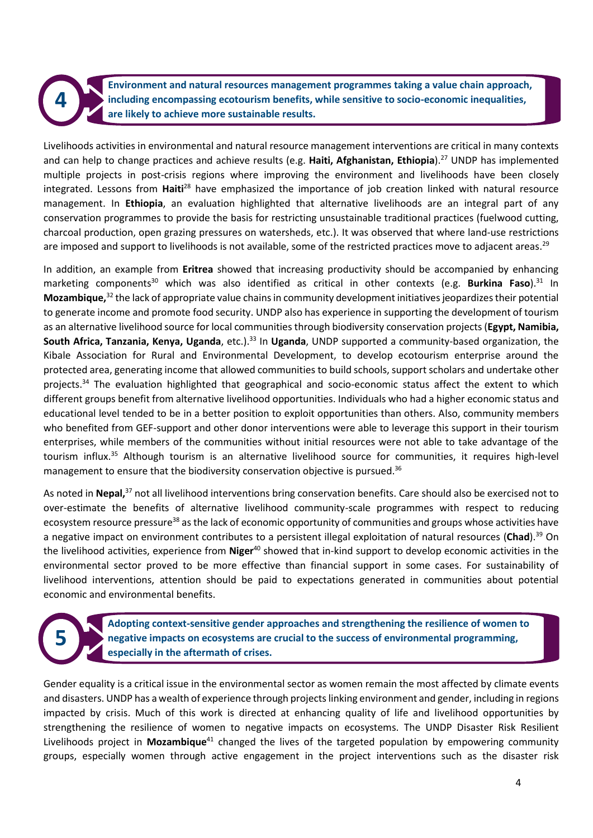**Environment and natural resources management programmes taking a value chain approach, including encompassing ecotourism benefits, while sensitive to socio-economic inequalities, are likely to achieve more sustainable results.**

Livelihoods activities in environmental and natural resource management interventions are critical in many contexts and can help to change practices and achieve results (e.g. **Haiti, Afghanistan, Ethiopia**). <sup>27</sup> UNDP has implemented multiple projects in post-crisis regions where improving the environment and livelihoods have been closely integrated. Lessons from **Haiti**<sup>28</sup> have emphasized the importance of job creation linked with natural resource management. In **Ethiopia**, an evaluation highlighted that alternative livelihoods are an integral part of any conservation programmes to provide the basis for restricting unsustainable traditional practices (fuelwood cutting, charcoal production, open grazing pressures on watersheds, etc.). It was observed that where land-use restrictions are imposed and support to livelihoods is not available, some of the restricted practices move to adjacent areas.<sup>29</sup>

In addition, an example from **Eritrea** showed that increasing productivity should be accompanied by enhancing marketing components<sup>30</sup> which was also identified as critical in other contexts (e.g. **Burkina Faso**).<sup>31</sup> In Mozambique,<sup>32</sup> the lack of appropriate value chains in community development initiatives jeopardizes their potential to generate income and promote food security. UNDP also has experience in supporting the development of tourism as an alternative livelihood source for local communities through biodiversity conservation projects (**Egypt, Namibia,**  South Africa, Tanzania, Kenya, Uganda, etc.).<sup>33</sup> In Uganda, UNDP supported a community-based organization, the Kibale Association for Rural and Environmental Development, to develop ecotourism enterprise around the protected area, generating income that allowed communities to build schools, support scholars and undertake other projects. <sup>34</sup> The evaluation highlighted that geographical and socio-economic status affect the extent to which different groups benefit from alternative livelihood opportunities. Individuals who had a higher economic status and educational level tended to be in a better position to exploit opportunities than others. Also, community members who benefited from GEF-support and other donor interventions were able to leverage this support in their tourism enterprises, while members of the communities without initial resources were not able to take advantage of the tourism influx. <sup>35</sup> Although tourism is an alternative livelihood source for communities, it requires high-level management to ensure that the biodiversity conservation objective is pursued.<sup>36</sup>

As noted in Nepal,<sup>37</sup> not all livelihood interventions bring conservation benefits. Care should also be exercised not to over-estimate the benefits of alternative livelihood community-scale programmes with respect to reducing ecosystem resource pressure<sup>38</sup> as the lack of economic opportunity of communities and groups whose activities have a negative impact on environment contributes to a persistent illegal exploitation of natural resources (**Chad**). <sup>39</sup> On the livelihood activities, experience from **Niger**<sup>40</sup> showed that in-kind support to develop economic activities in the environmental sector proved to be more effective than financial support in some cases. For sustainability of livelihood interventions, attention should be paid to expectations generated in communities about potential economic and environmental benefits.

**5**

**4**

**Adopting context-sensitive gender approaches and strengthening the resilience of women to negative impacts on ecosystems are crucial to the success of environmental programming, especially in the aftermath of crises.**

Gender equality is a critical issue in the environmental sector as women remain the most affected by climate events and disasters. UNDP has a wealth of experience through projects linking environment and gender, including in regions impacted by crisis. Much of this work is directed at enhancing quality of life and livelihood opportunities by strengthening the resilience of women to negative impacts on ecosystems. The UNDP Disaster Risk Resilient Livelihoods project in **Mozambique**<sup>41</sup> changed the lives of the targeted population by empowering community groups, especially women through active engagement in the project interventions such as the disaster risk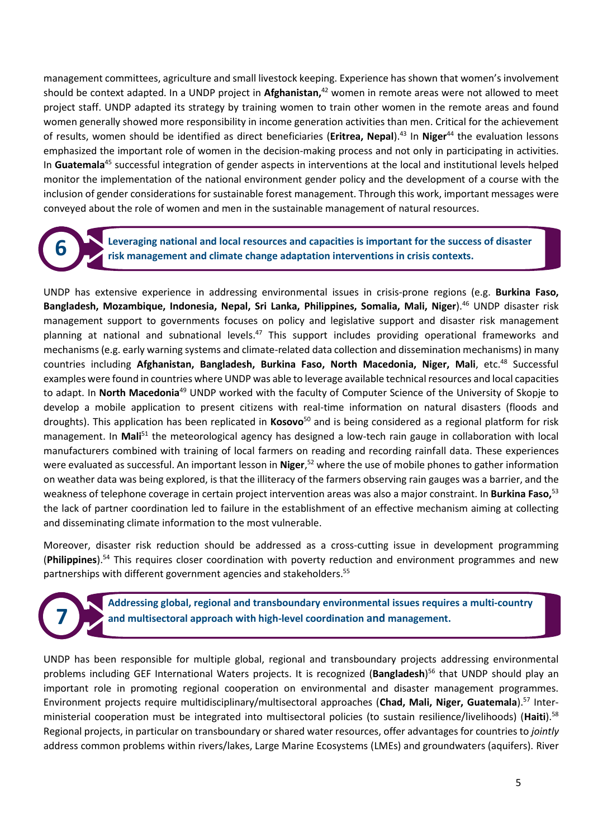management committees, agriculture and small livestock keeping. Experience has shown that women's involvement should be context adapted. In a UNDP project in **Afghanistan,** <sup>42</sup> women in remote areas were not allowed to meet project staff. UNDP adapted its strategy by training women to train other women in the remote areas and found women generally showed more responsibility in income generation activities than men. Critical for the achievement of results, women should be identified as direct beneficiaries (**Eritrea, Nepal**). <sup>43</sup> In **Niger**<sup>44</sup> the evaluation lessons emphasized the important role of women in the decision-making process and not only in participating in activities. In **Guatemala**<sup>45</sup> successful integration of gender aspects in interventions at the local and institutional levels helped monitor the implementation of the national environment gender policy and the development of a course with the inclusion of gender considerations for sustainable forest management. Through this work, important messages were conveyed about the role of women and men in the sustainable management of natural resources.

**6**

**Leveraging national and local resources and capacities is important for the success of disaster risk management and climate change adaptation interventions in crisis contexts.** 

UNDP has extensive experience in addressing environmental issues in crisis-prone regions (e.g. **Burkina Faso, Bangladesh, Mozambique, Indonesia, Nepal, Sri Lanka, Philippines, Somalia, Mali, Niger**). <sup>46</sup> UNDP disaster risk management support to governments focuses on policy and legislative support and disaster risk management planning at national and subnational levels.<sup>47</sup> This support includes providing operational frameworks and mechanisms (e.g. early warning systems and climate-related data collection and dissemination mechanisms) in many countries including **Afghanistan, Bangladesh, Burkina Faso, North Macedonia, Niger, Mali**, etc.<sup>48</sup> Successful examples were found in countries where UNDP was able to leverage available technical resources and local capacities to adapt. In **North Macedonia**<sup>49</sup> UNDP worked with the faculty of Computer Science of the University of Skopje to develop a mobile application to present citizens with real-time information on natural disasters (floods and droughts). This application has been replicated in **Kosovo**<sup>50</sup> and is being considered as a regional platform for risk management. In **Mali**<sup>51</sup> the meteorological agency has designed a low-tech rain gauge in collaboration with local manufacturers combined with training of local farmers on reading and recording rainfall data. These experiences were evaluated as successful. An important lesson in **Niger**,<sup>52</sup> where the use of mobile phones to gather information on weather data was being explored, is that the illiteracy of the farmers observing rain gauges was a barrier, and the weakness of telephone coverage in certain project intervention areas was also a major constraint. In **Burkina Faso,** 53 the lack of partner coordination led to failure in the establishment of an effective mechanism aiming at collecting and disseminating climate information to the most vulnerable.

Moreover, disaster risk reduction should be addressed as a cross-cutting issue in development programming (**Philippines**). <sup>54</sup> This requires closer coordination with poverty reduction and environment programmes and new partnerships with different government agencies and stakeholders.<sup>55</sup>

**7**

**Addressing global, regional and transboundary environmental issues requires a multi-country and multisectoral approach with high-level coordination and management.**

UNDP has been responsible for multiple global, regional and transboundary projects addressing environmental problems including GEF International Waters projects. It is recognized (**Bangladesh**) <sup>56</sup> that UNDP should play an important role in promoting regional cooperation on environmental and disaster management programmes. Environment projects require multidisciplinary/multisectoral approaches (**Chad, Mali, Niger, Guatemala**). <sup>57</sup> Interministerial cooperation must be integrated into multisectoral policies (to sustain resilience/livelihoods) (**Haiti**). 58 Regional projects, in particular on transboundary or shared water resources, offer advantages for countries to *jointly* address common problems within rivers/lakes, Large Marine Ecosystems (LMEs) and groundwaters (aquifers). River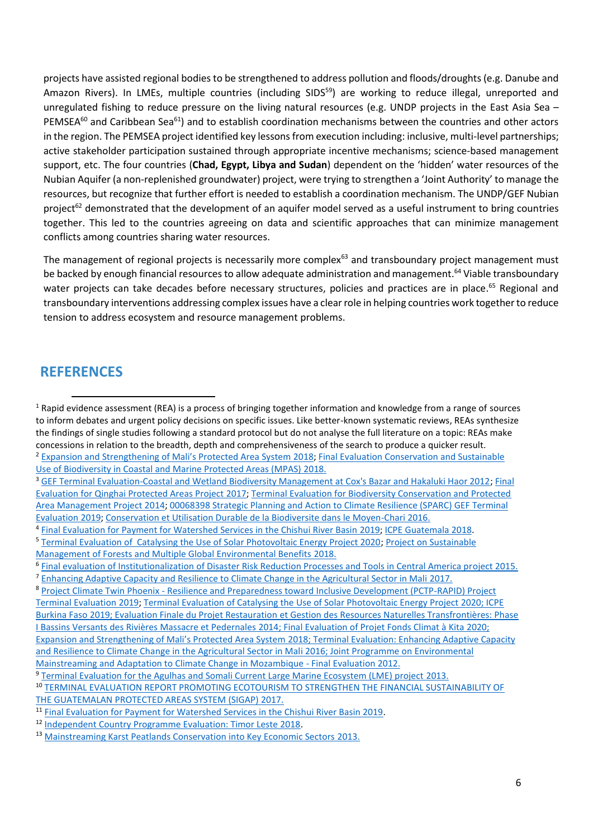projects have assisted regional bodies to be strengthened to address pollution and floods/droughts (e.g. Danube and Amazon Rivers). In LMEs, multiple countries (including SIDS<sup>59</sup>) are working to reduce illegal, unreported and unregulated fishing to reduce pressure on the living natural resources (e.g. UNDP projects in the East Asia Sea – PEMSEA $^{60}$  and Caribbean Sea $^{61}$ ) and to establish coordination mechanisms between the countries and other actors in the region. The PEMSEA project identified key lessons from execution including: inclusive, multi-level partnerships; active stakeholder participation sustained through appropriate incentive mechanisms; science-based management support, etc. The four countries (**Chad, Egypt, Libya and Sudan**) dependent on the 'hidden' water resources of the Nubian Aquifer (a non-replenished groundwater) project, were trying to strengthen a 'Joint Authority' to manage the resources, but recognize that further effort is needed to establish a coordination mechanism. The UNDP/GEF Nubian project<sup>62</sup> demonstrated that the development of an aquifer model served as a useful instrument to bring countries together. This led to the countries agreeing on data and scientific approaches that can minimize management conflicts among countries sharing water resources.

The management of regional projects is necessarily more complex<sup>63</sup> and transboundary project management must be backed by enough financial resources to allow adequate administration and management.<sup>64</sup> Viable transboundary water projects can take decades before necessary structures, policies and practices are in place.<sup>65</sup> Regional and transboundary interventions addressing complex issues have a clear role in helping countries work together to reduce tension to address ecosystem and resource management problems.

#### **REFERENCES**

<sup>3</sup> [GEF Terminal Evaluation-Coastal and Wetland Biodiversity Management at Cox's Bazar and Hakaluki Haor 2012;](https://erc.undp.org/evaluation/evaluations/detail/6306) Final [Evaluation for Qinghai Protected Areas Project](https://erc.undp.org/evaluation/evaluations/detail/8196) 2017[; Terminal Evaluation for Biodiversity Conservation and Protected](https://erc.undp.org/evaluation/evaluations/detail/7469)  [Area Management Project](https://erc.undp.org/evaluation/evaluations/detail/7469) 2014[; 00068398 Strategic Planning and Action to Climate Resilience \(SPARC\) GEF Terminal](https://erc.undp.org/evaluation/evaluations/detail/8677)  [Evaluation](https://erc.undp.org/evaluation/evaluations/detail/8677) 2019; [Conservation et Utilisation Durable de la Biodiversite dans le Moyen-Chari](https://erc.undp.org/evaluation/evaluations/detail/7781) 2016.

 $1$  Rapid evidence assessment (REA) is a process of bringing together information and knowledge from a range of sources to inform debates and urgent policy decisions on specific issues. Like better-known systematic reviews, REAs synthesize the findings of single studies following a standard protocol but do not analyse the full literature on a topic: REAs make concessions in relation to the breadth, depth and comprehensiveness of the search to produce a quicker result.

<sup>2</sup> [Expansion and Strengthening of Mali's Protected Area System](https://erc.undp.org/evaluation/evaluations/detail/9968) 2018; [Final Evaluation Conservation and Sustainable](https://erc.undp.org/evaluation/evaluations/detail/7704)  [Use of Biodiversity in Coastal and Marine Protected Areas \(MPAS\)](https://erc.undp.org/evaluation/evaluations/detail/7704) 2018.

<sup>&</sup>lt;sup>4</sup> [Final Evaluation for Payment for Watershed Services in the Chishui River Basin](https://erc.undp.org/evaluation/evaluations/detail/11264) 2019[; ICPE Guatemala](https://erc.undp.org/evaluation/evaluations/detail/9399) 2018.

<sup>5</sup> [Terminal Evaluation of Catalysing the Use of Solar Photovoltaic Energy Project 2020;](https://erc.undp.org/evaluation/evaluations/detail/12612) [Project on Sustainable](https://erc.undp.org/evaluation/evaluations/detail/7684)  [Management of Forests and Multiple Global Environmental Benefits](https://erc.undp.org/evaluation/evaluations/detail/7684) 2018.

<sup>6</sup> [Final evaluation of Institutionalization of Disaster Risk Reduction Processes and Tools in Central America project](https://erc.undp.org/evaluation/evaluations/detail/7677) 2015.

<sup>7</sup> [Enhancing Adaptive Capacity and Resilience to Climate Change in the Agricultural Sector in Mali](https://erc.undp.org/evaluation/evaluations/detail/9969) 2017.

<sup>8</sup> Project Climate Twin Phoenix - [Resilience and Preparedness toward Inclusive Development \(PCTP-RAPID\) Project](https://erc.undp.org/evaluation/evaluations/detail/12374)  [Terminal Evaluation](https://erc.undp.org/evaluation/evaluations/detail/12374) 2019[; Terminal Evaluation of Catalysing the Use of Solar Photovoltaic Energy Project 2](https://erc.undp.org/evaluation/evaluations/detail/12612)020; [ICPE](https://erc.undp.org/evaluation/evaluations/detail/12267)  [Burkina Faso](https://erc.undp.org/evaluation/evaluations/detail/12267) 2019; Evaluation Finale du Projet Restauration [et Gestion des Resources Naturelles Transfrontières: Phase](https://erc.undp.org/evaluation/evaluations/detail/6929)  [I Bassins Versants des Rivières Massacre et Pedernales](https://erc.undp.org/evaluation/evaluations/detail/6929) 2014[; Final Evaluation of Projet Fonds Climat à Kita](https://erc.undp.org/evaluation/evaluations/detail/12548) 2020; [Expansion and Strengthening of Mali's Protected Area System](https://erc.undp.org/evaluation/evaluations/detail/9968) 2018[; Terminal Evaluation: Enhancing Adaptive Capacity](https://erc.undp.org/evaluation/evaluations/detail/7481)  [and Resilience to Climate Change in the Agricultural Sector in Mali](https://erc.undp.org/evaluation/evaluations/detail/7481) 2016[; Joint Programme on Environmental](https://erc.undp.org/evaluation/evaluations/detail/4511)  [Mainstreaming and Adaptation to Climate Change in Mozambique -](https://erc.undp.org/evaluation/evaluations/detail/4511) Final Evaluation 2012.

<sup>&</sup>lt;sup>9</sup> [Terminal Evaluation for the Agulhas and Somali Current Large Marine Ecosystem \(LME\) project](https://erc.undp.org/evaluation/evaluations/detail/7227) 2013.

<sup>10</sup> [TERMINAL EVALUATION REPORT PROMOTING ECOTOURISM TO STRENGTHEN THE FINANCIAL SUSTAINABILITY OF](https://erc.undp.org/evaluation/evaluations/detail/7682)  [THE GUATEMALAN PROTECTED AREAS SYSTEM \(SIGAP\)](https://erc.undp.org/evaluation/evaluations/detail/7682) 2017.

<sup>&</sup>lt;sup>11</sup> [Final Evaluation for Payment for Watershed Services in the Chishui River Basin 2019.](https://erc.undp.org/evaluation/evaluations/detail/11264)

<sup>12</sup> [Independent Country Programme Evaluation: Timor Leste 2018.](https://erc.undp.org/evaluation/evaluations/detail/9404)

<sup>&</sup>lt;sup>13</sup> [Mainstreaming Karst Peatlands Conservation into Key Economic Sectors 2](https://erc.undp.org/evaluation/evaluations/detail/4751)013.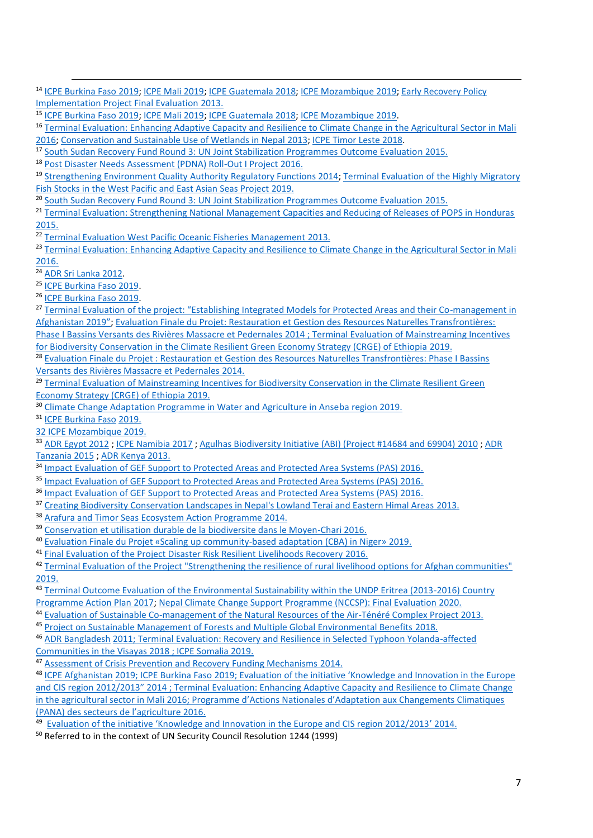<sup>14</sup> [ICPE Burkina Faso](https://erc.undp.org/evaluation/evaluations/detail/12267) 2019[; ICPE Mali](https://erc.undp.org/evaluation/evaluations/detail/9401) 2019; [ICPE Guatemala](https://erc.undp.org/evaluation/evaluations/detail/9399) 2018; [ICPE Mozambique](https://erc.undp.org/evaluation/evaluations/detail/12283) 2019; [Early Recovery Policy](https://erc.undp.org/evaluation/evaluations/detail/5546)  [Implementation Project Final Evaluation](https://erc.undp.org/evaluation/evaluations/detail/5546) 2013.

<sup>15</sup> [ICPE Burkina Faso 2019;](https://erc.undp.org/evaluation/evaluations/detail/12267) [ICPE Mali 2019;](https://erc.undp.org/evaluation/evaluations/detail/9401) [ICPE Guatemala 2018;](https://erc.undp.org/evaluation/evaluations/detail/9399) [ICPE Mozambique 2019.](https://erc.undp.org/evaluation/evaluations/detail/12283)

<sup>16</sup> [Terminal Evaluation: Enhancing Adaptive Capacity and Resilience to Climate Change in the Agricultural Sector in Mali](https://erc.undp.org/evaluation/evaluations/detail/7481) 2016; [Conservation and Sustainable Use of Wetlands in Nepal](https://erc.undp.org/evaluation/evaluations/detail/3549) 2013; [ICPE Timor Leste](https://erc.undp.org/evaluation/evaluations/detail/9404) 2018.

<sup>17</sup> [South Sudan Recovery Fund Round 3: UN Joint Stabilization Programmes Outcome Evaluation](https://erc.undp.org/evaluation/evaluations/detail/7851) 2015.

<sup>18</sup> [Post Disaster Needs Assessment \(PDNA\) Roll-Out I Project 2016.](https://erc.undp.org/evaluation/evaluations/detail/7737)

<sup>19</sup> [Strengthening Environment Quality Authority Regulatory Functions 2014;](https://erc.undp.org/evaluation/evaluations/detail/7183) [Terminal Evaluation of the Highly Migratory](https://erc.undp.org/evaluation/evaluations/detail/11162)  [Fish Stocks in the West Pacific and East Asian Seas Project](https://erc.undp.org/evaluation/evaluations/detail/11162) 2019.

<sup>20</sup> [South Sudan Recovery Fund Round 3: UN Joint Stabilization Programmes Outcome Evaluation](https://erc.undp.org/evaluation/evaluations/detail/7851) 2015.

<sup>21</sup> [Terminal Evaluation: Strengthening National Management Capacities and Reducing of Releases of POPS in Honduras](https://erc.undp.org/evaluation/evaluations/detail/7673) 2015.

<sup>22</sup> [Terminal Evaluation West Pacific Oceanic Fisheries Management](https://erc.undp.org/evaluation/evaluations/detail/6096) 2013.

<sup>23</sup> [Terminal Evaluation: Enhancing Adaptive Capacity and Resilience to Climate Change in the Agricultural Sector in Mali](https://erc.undp.org/evaluation/evaluations/detail/7481) 2016.

<sup>24</sup> [ADR Sri Lanka 2012.](https://erc.undp.org/evaluation/evaluations/detail/6223)

<sup>25</sup> [ICPE Burkina Faso 2019.](https://erc.undp.org/evaluation/evaluations/detail/12267)

<sup>26</sup> [ICPE Burkina Faso 2019.](https://erc.undp.org/evaluation/evaluations/detail/12267)

<sup>27</sup> [Terminal Evaluation of the project: "Establishing Integrated Models for Protected Areas and their Co](https://erc.undp.org/evaluation/evaluations/detail/7617)-management in [Afghanistan 2019](https://erc.undp.org/evaluation/evaluations/detail/7617)"; [Evaluation Finale du Projet: Restauration et Gestion des Resources Naturelles Transfrontières:](https://erc.undp.org/evaluation/evaluations/detail/6929)  [Phase I Bassins Versants des Rivières Massacre et Pedernales](https://erc.undp.org/evaluation/evaluations/detail/6929) 2014 [; Terminal Evaluation of Mainstreaming Incentives](https://erc.undp.org/evaluation/evaluations/detail/9155) 

[for Biodiversity Conservation in the Climate Resilient Green Economy Strategy \(CRGE\) of Ethiopia](https://erc.undp.org/evaluation/evaluations/detail/9155) 2019.

<sup>28</sup> Evaluation Finale du Projet : Restauration et Gestion des Resources Naturelles Transfrontières: Phase I Bassins [Versants des Rivières Massacre et Pedernales](https://erc.undp.org/evaluation/evaluations/detail/6929) 2014.

<sup>29</sup> Terminal Evaluation of Mainstreaming Incentives for Biodiversity Conservation in the Climate Resilient Green [Economy Strategy \(CRGE\) of Ethiopia](https://erc.undp.org/evaluation/evaluations/detail/9155) 2019.

<sup>30</sup> [Climate Change Adaptation Programme in Water and Agriculture in Anseba region](https://erc.undp.org/evaluation/evaluations/detail/9250) 2019.

<sup>31</sup> [ICPE Burkina Faso](https://erc.undp.org/evaluation/evaluations/detail/12267) 2019.

32 [ICPE Mozambique](https://erc.undp.org/evaluation/evaluations/detail/12283) 2019.

33 [ADR Egypt 2012](https://erc.undp.org/evaluation/evaluations/detail/4372) ; [ICPE Namibia 2017](https://erc.undp.org/evaluation/evaluations/detail/9535) [; Agulhas Biodiversity Initiative \(ABI\) \(Project #14684 and 69904\)](https://erc.undp.org/evaluation/evaluations/detail/4595) 2010 ; ADR [Tanzania 2015](https://erc.undp.org/evaluation/evaluations/detail/7074) [; ADR Kenya 2013.](https://erc.undp.org/evaluation/evaluations/detail/7148)

<sup>34</sup> [Impact Evaluation of GEF Support to Protected Areas and Protected Area Systems \(PAS\) 2016.](https://www.gefieo.org/evaluations/impact-evaluation-gef-support-protected-areas-and-protected-area-systems-pas-2016)

<sup>35</sup> [Impact Evaluation of GEF Support to Protected Areas and Protected Area Systems \(PAS\) 2016.](https://www.gefieo.org/evaluations/impact-evaluation-gef-support-protected-areas-and-protected-area-systems-pas-2016)

- <sup>36</sup> [Impact Evaluation of GEF Support to Protected Areas and Protected Area Systems \(PAS\) 2016.](https://www.gefieo.org/evaluations/impact-evaluation-gef-support-protected-areas-and-protected-area-systems-pas-2016)
- <sup>37</sup> [Creating Biodiversity Conservation Landscapes in Nepal's Lowland Terai and Eastern Himal Areas](https://erc.undp.org/evaluation/evaluations/detail/6874) 2013.
- <sup>38</sup> [Arafura and Timor Seas Ecosystem Action Programme](https://erc.undp.org/evaluation/evaluations/detail/7353) 2014.

<sup>39</sup> [Conservation et utilisation durable de la biodiversite dans le Moyen-Chari](https://erc.undp.org/evaluation/evaluations/detail/7781) 2016.

- <sup>40</sup> Evaluation Finale du Projet «Scaling [up community-based adaptation \(CBA\) in Niger»](https://erc.undp.org/evaluation/evaluations/detail/7171) 2019.
- <sup>41</sup> [Final Evaluation of the Project Disaster Risk Resilient Livelihoods Recovery](https://erc.undp.org/evaluation/evaluations/detail/5493) 2016.

<sup>42</sup> [Terminal Evaluation of the Project "Strengthening the resilience of rural livelihood options for Afghan communities"](https://erc.undp.org/evaluation/evaluations/detail/7615) 2019.

43 Terminal Outcome Evaluation of the Environmental Sustainability within the UNDP Eritrea (2013-2016) Country [Programme Action Plan](https://erc.undp.org/evaluation/evaluations/detail/9161) 2017; Nepal Climate Change Support [Programme \(NCCSP\): Final Evaluation 2](https://erc.undp.org/evaluation/evaluations/detail/9743)020.

<sup>44</sup> [Evaluation of Sustainable Co-management of the Natural Resources of the Air-Ténéré Complex Project](https://erc.undp.org/evaluation/evaluations/detail/7454) 2013.

<sup>45</sup> [Project on Sustainable Management of Forests and Multiple Global Environmental Benefits](https://erc.undp.org/evaluation/evaluations/detail/7684) 2018.

<sup>46</sup> [ADR Bangladesh](https://erc.undp.org/evaluation/evaluations/detail/4378) 2011[; Terminal Evaluation: Recovery and Resilience in Selected Typhoon Yolanda-affected](https://erc.undp.org/evaluation/evaluations/detail/9113)  [Communities in the Visayas](https://erc.undp.org/evaluation/evaluations/detail/9113) 2018 [; ICPE Somalia](https://erc.undp.org/evaluation/evaluations/detail/12286) 2019.

<sup>47</sup> [Assessment of Crisis Prevention and Recovery Funding Mechanisms](https://erc.undp.org/evaluation/evaluations/detail/6963) 2014.

<sup>48</sup> [ICPE Afghanistan](https://erc.undp.org/evaluation/evaluations/detail/9389) 2019; [ICPE Burkina Faso](https://erc.undp.org/evaluation/evaluations/detail/12267) 2019; Evaluation of the initiative 'Knowledge and Innovation in the Europe and CIS region 2012/2013" 2014 ; [Terminal Evaluation: Enhancing Adaptive Capacity and Resilience to Climate Change](https://erc.undp.org/evaluation/evaluations/detail/7481)  [in the agricultural sector in Mali](https://erc.undp.org/evaluation/evaluations/detail/7481) 2016; [Programme d'Actions Nationales d'Adaptation aux](https://erc.undp.org/evaluation/evaluations/detail/8243) Changements Climatiques [\(PANA\) des secteurs de l'agriculture](https://erc.undp.org/evaluation/evaluations/detail/8243) 2016.

<sup>49</sup> [Evaluation of the initiative 'Knowledge and Innovation in the Europe and CIS region 2012/2013'](https://erc.undp.org/evaluation/evaluations/detail/7520) 2014.

<sup>50</sup> Referred to in the context of UN Security Council Resolution 1244 (1999)